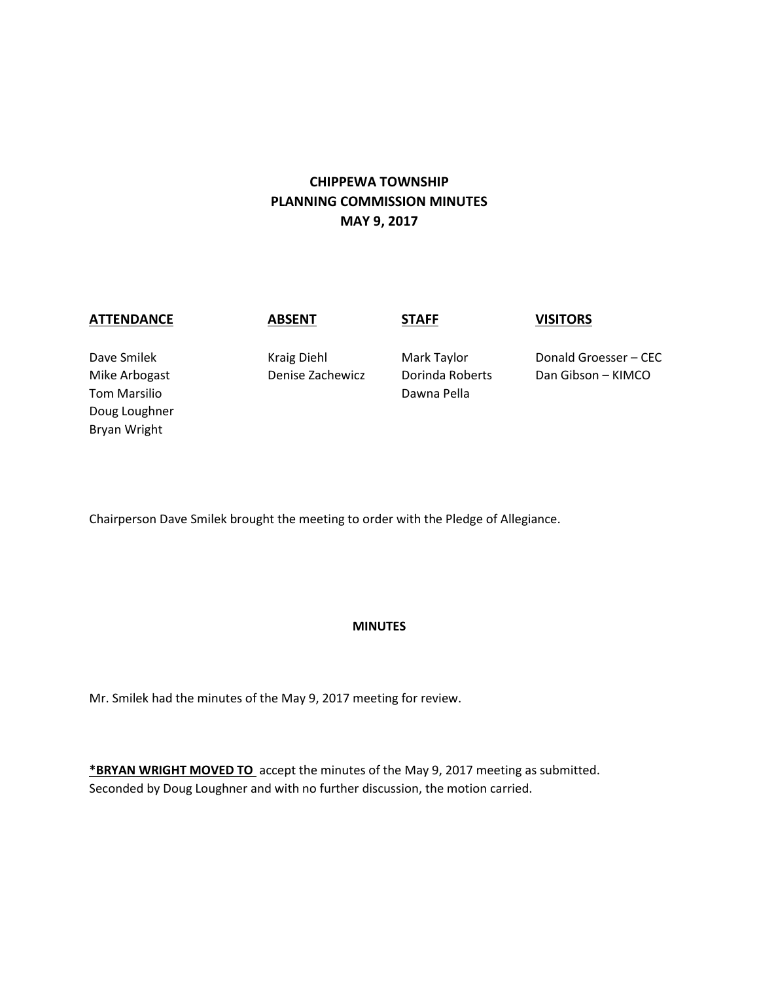# **CHIPPEWA TOWNSHIP PLANNING COMMISSION MINUTES MAY 9, 2017**

### **ATTENDANCE ABSENT STAFF VISITORS**

Tom Marsilio **National According to the Cause of Cause Contract Contract Contract Contract Contract Contract Contract Contract Contract Contract Contract Contract Contract Contract Contract Contract Contract Contract Contr** Doug Loughner Bryan Wright

Dave Smilek Kraig Diehl Mark Taylor Donald Groesser – CEC Mike Arbogast Denise Zachewicz Dorinda Roberts Dan Gibson – KIMCO

Chairperson Dave Smilek brought the meeting to order with the Pledge of Allegiance.

## **MINUTES**

Mr. Smilek had the minutes of the May 9, 2017 meeting for review.

**\*BRYAN WRIGHT MOVED TO** accept the minutes of the May 9, 2017 meeting as submitted. Seconded by Doug Loughner and with no further discussion, the motion carried.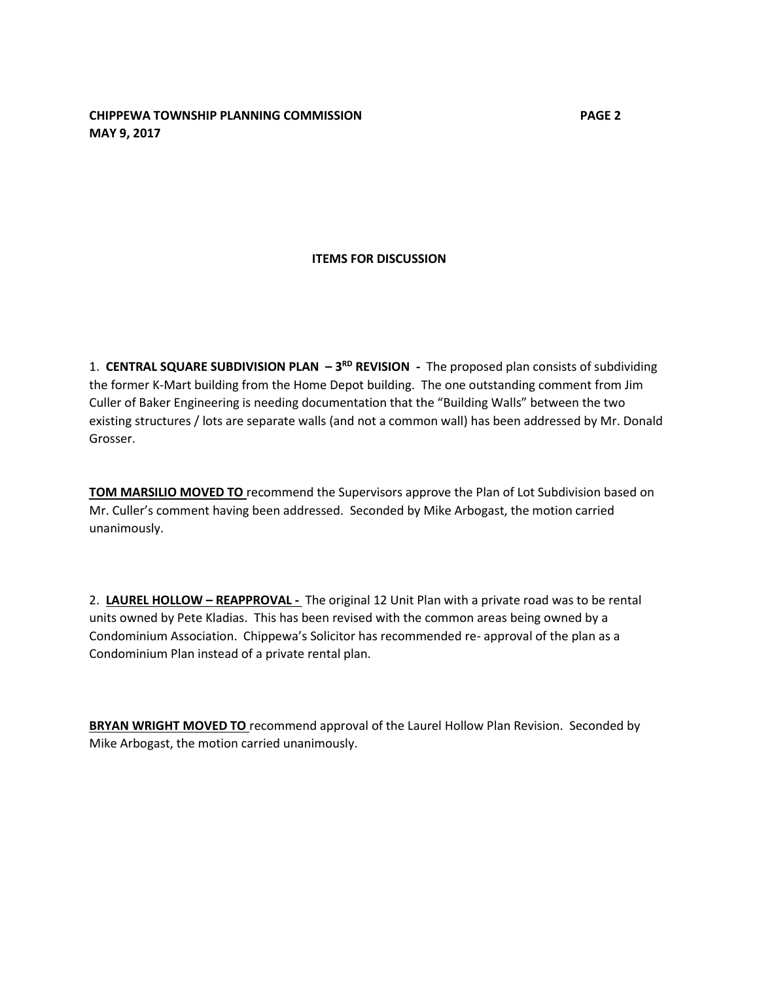## **CHIPPEWA TOWNSHIP PLANNING COMMISSION PAGE 2 MAY 9, 2017**

## **ITEMS FOR DISCUSSION**

1. **CENTRAL SQUARE SUBDIVISION PLAN - 3<sup>RD</sup> REVISION -** The proposed plan consists of subdividing the former K-Mart building from the Home Depot building. The one outstanding comment from Jim Culler of Baker Engineering is needing documentation that the "Building Walls" between the two existing structures / lots are separate walls (and not a common wall) has been addressed by Mr. Donald Grosser.

**TOM MARSILIO MOVED TO** recommend the Supervisors approve the Plan of Lot Subdivision based on Mr. Culler's comment having been addressed. Seconded by Mike Arbogast, the motion carried unanimously.

2. **LAUREL HOLLOW – REAPPROVAL -** The original 12 Unit Plan with a private road was to be rental units owned by Pete Kladias. This has been revised with the common areas being owned by a Condominium Association. Chippewa's Solicitor has recommended re- approval of the plan as a Condominium Plan instead of a private rental plan.

**BRYAN WRIGHT MOVED TO** recommend approval of the Laurel Hollow Plan Revision. Seconded by Mike Arbogast, the motion carried unanimously.